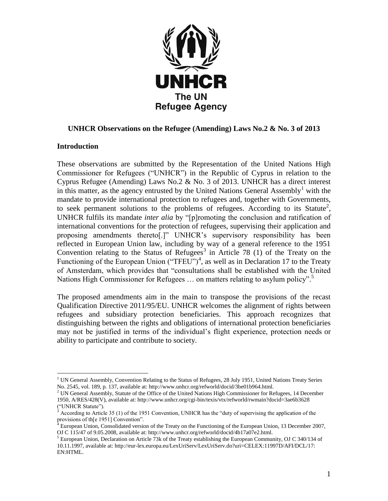

# **UNHCR Observations on the Refugee (Amending) Laws No.2 & No. 3 of 2013**

#### **Introduction**

These observations are submitted by the Representation of the United Nations High Commissioner for Refugees ("UNHCR") in the Republic of Cyprus in relation to the Cyprus Refugee (Amending) Laws No.2 & No. 3 of 2013. UNHCR has a direct interest in this matter, as the agency entrusted by the United Nations General Assembly<sup>1</sup> with the mandate to provide international protection to refugees and, together with Governments, to seek permanent solutions to the problems of refugees. According to its Statute<sup>2</sup>, UNHCR fulfils its mandate *inter alia* by "[p]romoting the conclusion and ratification of international conventions for the protection of refugees, supervising their application and proposing amendments thereto[.]" UNHCR"s supervisory responsibility has been reflected in European Union law, including by way of a general reference to the 1951 Convention relating to the Status of Refugees<sup>3</sup> in Article 78 (1) of the Treaty on the Functioning of the European Union ("TFEU")<sup>4</sup>, as well as in Declaration 17 to the Treaty of Amsterdam, which provides that "consultations shall be established with the United Nations High Commissioner for Refugees ... on matters relating to asylum policy".<sup>5</sup>

The proposed amendments aim in the main to transpose the provisions of the recast Qualification Directive 2011/95/EU. UNHCR welcomes the alignment of rights between refugees and subsidiary protection beneficiaries. This approach recognizes that distinguishing between the rights and obligations of international protection beneficiaries may not be justified in terms of the individual"s flight experience, protection needs or ability to participate and contribute to society.

 $\overline{a}$  $1$  UN General Assembly, Convention Relating to the Status of Refugees, 28 July 1951, United Nations Treaty Series No. 2545, vol. 189, p. 137, available at: http://www.unhcr.org/refworld/docid/3be01b964.html.

<sup>&</sup>lt;sup>2</sup> UN General Assembly, Statute of the Office of the United Nations High Commissioner for Refugees, 14 December 1950, A/RES/428(V), available at: http://www.unhcr.org/cgi-bin/texis/vtx/refworld/rwmain?docid=3ae6b3628 ("UNHCR Statute").

 $3$  According to Article 35 (1) of the 1951 Convention, UNHCR has the "duty of supervising the application of the provisions of th[e 1951] Convention".

 $^4$  European Union, Consolidated version of the Treaty on the Functioning of the European Union, 13 December 2007, OJ C 115/47 of 9.05.2008, available at: http://www.unhcr.org/refworld/docid/4b17a07e2.html.

 $<sup>5</sup>$  European Union, Declaration on Article 73k of the Treaty establishing the European Community, OJ C 340/134 of</sup> 10.11.1997, available at: http://eur-lex.europa.eu/LexUriServ/LexUriServ.do?uri=CELEX:11997D/AFI/DCL/17: EN:HTML.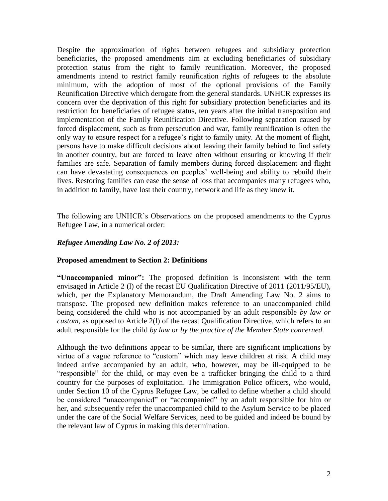Despite the approximation of rights between refugees and subsidiary protection beneficiaries, the proposed amendments aim at excluding beneficiaries of subsidiary protection status from the right to family reunification. Moreover, the proposed amendments intend to restrict family reunification rights of refugees to the absolute minimum, with the adoption of most of the optional provisions of the Family Reunification Directive which derogate from the general standards. UNHCR expresses its concern over the deprivation of this right for subsidiary protection beneficiaries and its restriction for beneficiaries of refugee status, ten years after the initial transposition and implementation of the Family Reunification Directive. Following separation caused by forced displacement, such as from persecution and war, family reunification is often the only way to ensure respect for a refugee"s right to family unity. At the moment of flight, persons have to make difficult decisions about leaving their family behind to find safety in another country, but are forced to leave often without ensuring or knowing if their families are safe. Separation of family members during forced displacement and flight can have devastating consequences on peoples" well-being and ability to rebuild their lives. Restoring families can ease the sense of loss that accompanies many refugees who, in addition to family, have lost their country, network and life as they knew it.

The following are UNHCR"s Observations on the proposed amendments to the Cyprus Refugee Law, in a numerical order:

### *Refugee Amending Law No. 2 of 2013:*

#### **Proposed amendment to Section 2: Definitions**

**"Unaccompanied minor":** The proposed definition is inconsistent with the term envisaged in Article 2 (l) of the recast EU Qualification Directive of 2011 (2011/95/EU), which, per the Explanatory Memorandum, the Draft Amending Law No. 2 aims to transpose. The proposed new definition makes reference to an unaccompanied child being considered the child who is not accompanied by an adult responsible *by law or custom*, as opposed to Article 2(l) of the recast Qualification Directive, which refers to an adult responsible for the child *by law or by the practice of the Member State concerned.* 

Although the two definitions appear to be similar, there are significant implications by virtue of a vague reference to "custom" which may leave children at risk. A child may indeed arrive accompanied by an adult, who, however, may be ill-equipped to be "responsible" for the child, or may even be a trafficker bringing the child to a third country for the purposes of exploitation. The Immigration Police officers, who would, under Section 10 of the Cyprus Refugee Law, be called to define whether a child should be considered "unaccompanied" or "accompanied" by an adult responsible for him or her, and subsequently refer the unaccompanied child to the Asylum Service to be placed under the care of the Social Welfare Services, need to be guided and indeed be bound by the relevant law of Cyprus in making this determination.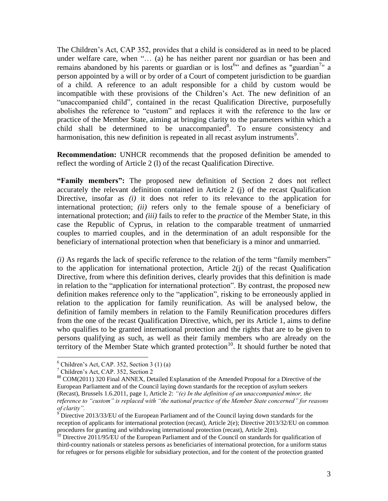The Children"s Act, CAP 352, provides that a child is considered as in need to be placed under welfare care, when "… (a) he has neither parent nor guardian or has been and remains abandoned by his parents or guardian or is lost<sup>6</sup> and defines as "guardian<sup>7</sup>" a person appointed by a will or by order of a Court of competent jurisdiction to be guardian of a child. A reference to an adult responsible for a child by custom would be incompatible with these provisions of the Children"s Act. The new definition of an "unaccompanied child", contained in the recast Qualification Directive, purposefully abolishes the reference to "custom" and replaces it with the reference to the law or practice of the Member State, aiming at bringing clarity to the parameters within which a child shall be determined to be unaccompanied $8$ . To ensure consistency and harmonisation, this new definition is repeated in all recast asylum instruments<sup>9</sup>.

**Recommendation:** UNHCR recommends that the proposed definition be amended to reflect the wording of Article 2 (l) of the recast Qualification Directive.

**"Family members":** The proposed new definition of Section 2 does not reflect accurately the relevant definition contained in Article 2 (j) of the recast Qualification Directive, insofar as *(i)* it does not refer to its relevance to the application for international protection; *(ii)* refers only to the female spouse of a beneficiary of international protection; and *(iii)* fails to refer to the *practice* of the Member State, in this case the Republic of Cyprus, in relation to the comparable treatment of unmarried couples to married couples, and in the determination of an adult responsible for the beneficiary of international protection when that beneficiary is a minor and unmarried.

*(i)* As regards the lack of specific reference to the relation of the term "family members" to the application for international protection, Article 2(j) of the recast Qualification Directive, from where this definition derives, clearly provides that this definition is made in relation to the "application for international protection". By contrast, the proposed new definition makes reference only to the "application", risking to be erroneously applied in relation to the application for family reunification. As will be analysed below, the definition of family members in relation to the Family Reunification procedures differs from the one of the recast Qualification Directive, which, per its Article 1, aims to define who qualifies to be granted international protection and the rights that are to be given to persons qualifying as such, as well as their family members who are already on the territory of the Member State which granted protection<sup>10</sup>. It should further be noted that

 $6$  Children's Act, CAP. 352, Section 3 (1) (a)

<sup>7</sup> Children"s Act, CAP. 352, Section 2

<sup>88</sup> COM(2011) 320 Final ANNEX, Detailed Explanation of the Amended Proposal for a Directive of the European Parliament and of the Council laying down standards for the reception of asylum seekers (Recast), Brussels 1.6.2011, page 1, Article 2: *"(e) In the definition of an unaccompanied minor, the reference to "custom" is replaced with "the national practice of the Member State concerned" for reasons of clarity".* 

 $9$  Directive 2013/33/EU of the European Parliament and of the Council laying down standards for the reception of applicants for international protection (recast), Article 2(e); Directive 2013/32/EU on common procedures for granting and withdrawing international protection (recast), Article 2(m).

<sup>&</sup>lt;sup>10</sup> Directive 2011/95/EU of the European Parliament and of the Council on standards for qualification of third-country nationals or stateless persons as beneficiaries of international protection, for a uniform status for refugees or for persons eligible for subsidiary protection, and for the content of the protection granted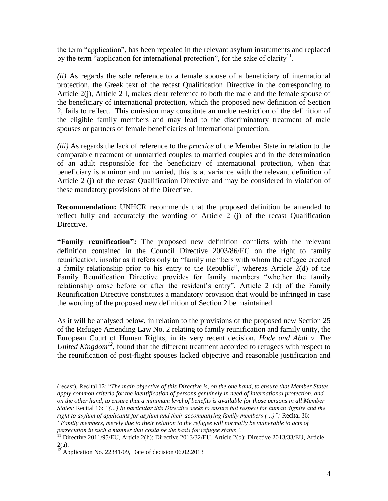the term "application", has been repealed in the relevant asylum instruments and replaced by the term "application for international protection", for the sake of clarity<sup>11</sup>.

*(ii)* As regards the sole reference to a female spouse of a beneficiary of international protection, the Greek text of the recast Qualification Directive in the corresponding to Article 2(j), Article 2 I, makes clear reference to both the male and the female spouse of the beneficiary of international protection, which the proposed new definition of Section 2, fails to reflect. This omission may constitute an undue restriction of the definition of the eligible family members and may lead to the discriminatory treatment of male spouses or partners of female beneficiaries of international protection.

*(iii)* As regards the lack of reference to the *practice* of the Member State in relation to the comparable treatment of unmarried couples to married couples and in the determination of an adult responsible for the beneficiary of international protection, when that beneficiary is a minor and unmarried, this is at variance with the relevant definition of Article 2 (j) of the recast Qualification Directive and may be considered in violation of these mandatory provisions of the Directive.

**Recommendation:** UNHCR recommends that the proposed definition be amended to reflect fully and accurately the wording of Article 2 (j) of the recast Qualification Directive.

**"Family reunification":** The proposed new definition conflicts with the relevant definition contained in the Council Directive 2003/86/EC on the right to family reunification, insofar as it refers only to "family members with whom the refugee created a family relationship prior to his entry to the Republic", whereas Article 2(d) of the Family Reunification Directive provides for family members "whether the family relationship arose before or after the resident's entry". Article 2 (d) of the Family Reunification Directive constitutes a mandatory provision that would be infringed in case the wording of the proposed new definition of Section 2 be maintained.

As it will be analysed below, in relation to the provisions of the proposed new Section 25 of the Refugee Amending Law No. 2 relating to family reunification and family unity, the European Court of Human Rights, in its very recent decision, *Hode and Abdi v. The United Kingdom<sup>12</sup>*, found that the different treatment accorded to refugees with respect to the reunification of post-flight spouses lacked objective and reasonable justification and

<sup>(</sup>recast), Recital 12: "*The main objective of this Directive is, on the one hand, to ensure that Member States apply common criteria for the identification of persons genuinely in need of international protection, and on the other hand, to ensure that a minimum level of benefits is available for those persons in all Member States;* Recital 16: *"(…) In particular this Directive seeks to ensure full respect for human dignity and the*  right to asylum of applicants for asylum and their accompanying family members (...)"; Recital 36: *"Family members, merely due to their relation to the refugee will normally be vulnerable to acts of* 

*persecution in such a manner that could be the basis for refugee status".* 

<sup>&</sup>lt;sup>11</sup> Directive 2011/95/EU, Article 2(h); Directive 2013/32/EU, Article 2(b); Directive 2013/33/EU, Article  $2(a)$ .

 $12$  Application No. 22341/09, Date of decision 06.02.2013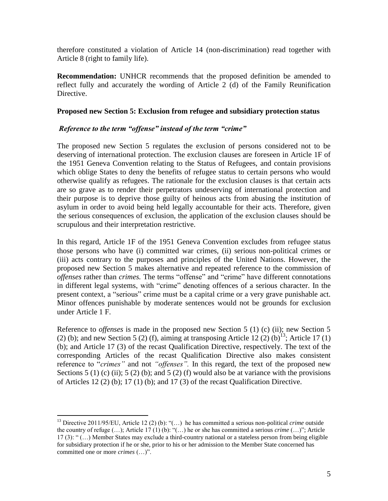therefore constituted a violation of Article 14 (non-discrimination) read together with Article 8 (right to family life).

**Recommendation:** UNHCR recommends that the proposed definition be amended to reflect fully and accurately the wording of Article 2 (d) of the Family Reunification Directive.

#### **Proposed new Section 5: Exclusion from refugee and subsidiary protection status**

### *Reference to the term "offense" instead of the term "crime"*

The proposed new Section 5 regulates the exclusion of persons considered not to be deserving of international protection. The exclusion clauses are foreseen in Article 1F of the 1951 Geneva Convention relating to the Status of Refugees, and contain provisions which oblige States to deny the benefits of refugee status to certain persons who would otherwise qualify as refugees. The rationale for the exclusion clauses is that certain acts are so grave as to render their perpetrators undeserving of international protection and their purpose is to deprive those guilty of heinous acts from abusing the institution of asylum in order to avoid being held legally accountable for their acts. Therefore, given the serious consequences of exclusion, the application of the exclusion clauses should be scrupulous and their interpretation restrictive.

In this regard, Article 1F of the 1951 Geneva Convention excludes from refugee status those persons who have (i) committed war crimes, (ii) serious non-political crimes or (iii) acts contrary to the purposes and principles of the United Nations. However, the proposed new Section 5 makes alternative and repeated reference to the commission of *offenses* rather than *crimes.* The terms "offense" and "crime" have different connotations in different legal systems, with "crime" denoting offences of a serious character. In the present context, a "serious" crime must be a capital crime or a very grave punishable act. Minor offences punishable by moderate sentences would not be grounds for exclusion under Article 1 F.

Reference to *offenses* is made in the proposed new Section 5 (1) (c) (ii); new Section 5 (2) (b); and new Section 5 (2) (f), aiming at transposing Article  $12$  (2) (b)<sup>13</sup>; Article 17 (1) (b); and Article 17 (3) of the recast Qualification Directive, respectively. The text of the corresponding Articles of the recast Qualification Directive also makes consistent reference to "*crimes"* and not *"offenses".* In this regard, the text of the proposed new Sections 5 (1) (c) (ii); 5 (2) (b); and 5 (2) (f) would also be at variance with the provisions of Articles  $12(2)$  (b);  $17(1)$  (b); and  $17(3)$  of the recast Qualification Directive.

<sup>13</sup> Directive 2011/95/EU, Article 12 (2) (b): "(…) he has committed a serious non-political *crime* outside the country of refuge (…); Article 17 (1) (b): "(…) he or she has committed a serious *crime* (…)"; Article 17 (3): " (…) Member States may exclude a third-country national or a stateless person from being eligible for subsidiary protection if he or she, prior to his or her admission to the Member State concerned has committed one or more *crimes* (…)".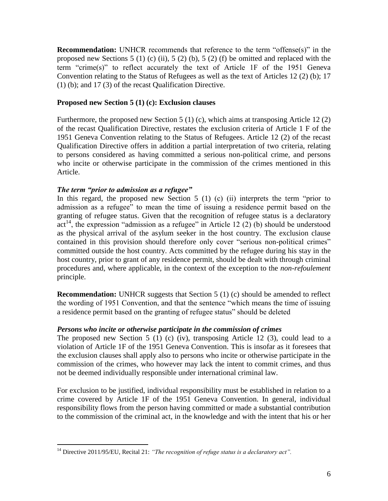**Recommendation:** UNHCR recommends that reference to the term "offense(s)" in the proposed new Sections 5 (1) (c) (ii), 5 (2) (b), 5 (2) (f) be omitted and replaced with the term "crime(s)" to reflect accurately the text of Article 1F of the 1951 Geneva Convention relating to the Status of Refugees as well as the text of Articles 12 (2) (b); 17 (1) (b); and 17 (3) of the recast Qualification Directive.

#### **Proposed new Section 5 (1) (c): Exclusion clauses**

Furthermore, the proposed new Section 5 (1) (c), which aims at transposing Article 12 (2) of the recast Qualification Directive, restates the exclusion criteria of Article 1 F of the 1951 Geneva Convention relating to the Status of Refugees. Article 12 (2) of the recast Qualification Directive offers in addition a partial interpretation of two criteria, relating to persons considered as having committed a serious non-political crime, and persons who incite or otherwise participate in the commission of the crimes mentioned in this Article.

### *The term "prior to admission as a refugee"*

 $\overline{a}$ 

In this regard, the proposed new Section  $5(1)(c)$  (ii) interprets the term "prior to admission as a refugee" to mean the time of issuing a residence permit based on the granting of refugee status. Given that the recognition of refugee status is a declaratory  $act<sup>14</sup>$ , the expression "admission as a refugee" in Article 12 (2) (b) should be understood as the physical arrival of the asylum seeker in the host country. The exclusion clause contained in this provision should therefore only cover "serious non-political crimes" committed outside the host country. Acts committed by the refugee during his stay in the host country, prior to grant of any residence permit, should be dealt with through criminal procedures and, where applicable, in the context of the exception to the *non-refoulement* principle.

**Recommendation:** UNHCR suggests that Section 5 (1) (c) should be amended to reflect the wording of 1951 Convention, and that the sentence "which means the time of issuing a residence permit based on the granting of refugee status" should be deleted

#### *Persons who incite or otherwise participate in the commission of crimes*

The proposed new Section 5 (1) (c) (iv), transposing Article 12 (3), could lead to a violation of Article 1F of the 1951 Geneva Convention. This is insofar as it foresees that the exclusion clauses shall apply also to persons who incite or otherwise participate in the commission of the crimes, who however may lack the intent to commit crimes, and thus not be deemed individually responsible under international criminal law.

For exclusion to be justified, individual responsibility must be established in relation to a crime covered by Article 1F of the 1951 Geneva Convention. In general, individual responsibility flows from the person having committed or made a substantial contribution to the commission of the criminal act, in the knowledge and with the intent that his or her

<sup>14</sup> Directive 2011/95/EU, Recital 21: *"The recognition of refuge status is a declaratory act".*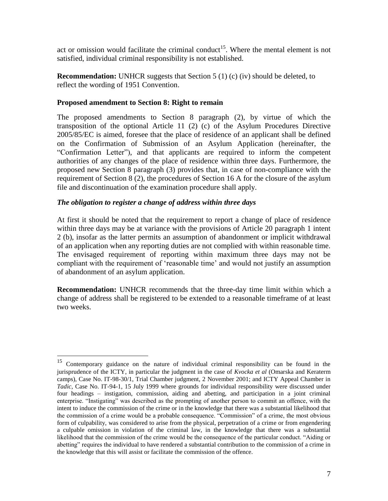act or omission would facilitate the criminal conduct<sup>15</sup>. Where the mental element is not satisfied, individual criminal responsibility is not established.

**Recommendation:** UNHCR suggests that Section 5 (1) (c) (iv) should be deleted, to reflect the wording of 1951 Convention.

### **Proposed amendment to Section 8: Right to remain**

The proposed amendments to Section 8 paragraph (2), by virtue of which the transposition of the optional Article 11 (2) (c) of the Asylum Procedures Directive 2005/85/EC is aimed, foresee that the place of residence of an applicant shall be defined on the Confirmation of Submission of an Asylum Application (hereinafter, the "Confirmation Letter"), and that applicants are required to inform the competent authorities of any changes of the place of residence within three days. Furthermore, the proposed new Section 8 paragraph (3) provides that, in case of non-compliance with the requirement of Section 8 (2), the procedures of Section 16 A for the closure of the asylum file and discontinuation of the examination procedure shall apply.

#### *The obligation to register a change of address within three days*

 $\overline{a}$ 

At first it should be noted that the requirement to report a change of place of residence within three days may be at variance with the provisions of Article 20 paragraph 1 intent 2 (b), insofar as the latter permits an assumption of abandonment or implicit withdrawal of an application when any reporting duties are not complied with within reasonable time. The envisaged requirement of reporting within maximum three days may not be compliant with the requirement of 'reasonable time' and would not justify an assumption of abandonment of an asylum application.

**Recommendation:** UNHCR recommends that the three-day time limit within which a change of address shall be registered to be extended to a reasonable timeframe of at least two weeks.

<sup>&</sup>lt;sup>15</sup> Contemporary guidance on the nature of individual criminal responsibility can be found in the jurisprudence of the ICTY, in particular the judgment in the case of *Kvocka et al* (Omarska and Keraterm camps), Case No. IT-98-30/1, Trial Chamber judgment, 2 November 2001; and ICTY Appeal Chamber in *Tadic*, Case No. IT-94-1, 15 July 1999 where grounds for individual responsibility were discussed under four headings – instigation, commission, aiding and abetting, and participation in a joint criminal enterprise. "Instigating" was described as the prompting of another person to commit an offence, with the intent to induce the commission of the crime or in the knowledge that there was a substantial likelihood that the commission of a crime would be a probable consequence. "Commission" of a crime, the most obvious form of culpability, was considered to arise from the physical, perpetration of a crime or from engendering a culpable omission in violation of the criminal law, in the knowledge that there was a substantial likelihood that the commission of the crime would be the consequence of the particular conduct. "Aiding or abetting" requires the individual to have rendered a substantial contribution to the commission of a crime in the knowledge that this will assist or facilitate the commission of the offence.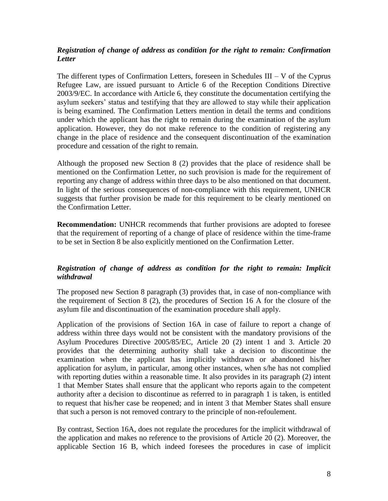# *Registration of change of address as condition for the right to remain: Confirmation Letter*

The different types of Confirmation Letters, foreseen in Schedules  $III - V$  of the Cyprus Refugee Law, are issued pursuant to Article 6 of the Reception Conditions Directive 2003/9/EC. In accordance with Article 6, they constitute the documentation certifying the asylum seekers' status and testifying that they are allowed to stay while their application is being examined. The Confirmation Letters mention in detail the terms and conditions under which the applicant has the right to remain during the examination of the asylum application. However, they do not make reference to the condition of registering any change in the place of residence and the consequent discontinuation of the examination procedure and cessation of the right to remain.

Although the proposed new Section 8 (2) provides that the place of residence shall be mentioned on the Confirmation Letter, no such provision is made for the requirement of reporting any change of address within three days to be also mentioned on that document. In light of the serious consequences of non-compliance with this requirement, UNHCR suggests that further provision be made for this requirement to be clearly mentioned on the Confirmation Letter.

**Recommendation:** UNHCR recommends that further provisions are adopted to foresee that the requirement of reporting of a change of place of residence within the time-frame to be set in Section 8 be also explicitly mentioned on the Confirmation Letter.

# *Registration of change of address as condition for the right to remain: Implicit withdrawal*

The proposed new Section 8 paragraph (3) provides that, in case of non-compliance with the requirement of Section 8 (2), the procedures of Section 16 A for the closure of the asylum file and discontinuation of the examination procedure shall apply.

Application of the provisions of Section 16A in case of failure to report a change of address within three days would not be consistent with the mandatory provisions of the Asylum Procedures Directive 2005/85/EC, Article 20 (2) intent 1 and 3. Article 20 provides that the determining authority shall take a decision to discontinue the examination when the applicant has implicitly withdrawn or abandoned his/her application for asylum, in particular, among other instances, when s/he has not complied with reporting duties within a reasonable time. It also provides in its paragraph (2) intent 1 that Member States shall ensure that the applicant who reports again to the competent authority after a decision to discontinue as referred to in paragraph 1 is taken, is entitled to request that his/her case be reopened; and in intent 3 that Member States shall ensure that such a person is not removed contrary to the principle of non-refoulement.

By contrast, Section 16A, does not regulate the procedures for the implicit withdrawal of the application and makes no reference to the provisions of Article 20 (2). Moreover, the applicable Section 16 B, which indeed foresees the procedures in case of implicit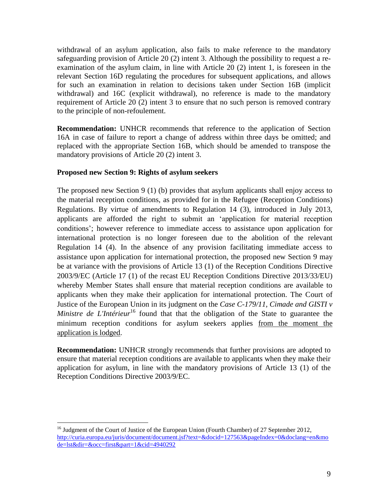withdrawal of an asylum application, also fails to make reference to the mandatory safeguarding provision of Article 20 (2) intent 3. Although the possibility to request a reexamination of the asylum claim, in line with Article 20 (2) intent 1, is foreseen in the relevant Section 16D regulating the procedures for subsequent applications, and allows for such an examination in relation to decisions taken under Section 16B (implicit withdrawal) and 16C (explicit withdrawal), no reference is made to the mandatory requirement of Article 20 (2) intent 3 to ensure that no such person is removed contrary to the principle of non-refoulement.

**Recommendation:** UNHCR recommends that reference to the application of Section 16A in case of failure to report a change of address within three days be omitted; and replaced with the appropriate Section 16B, which should be amended to transpose the mandatory provisions of Article 20 (2) intent 3.

### **Proposed new Section 9: Rights of asylum seekers**

 $\overline{a}$ 

The proposed new Section 9 (1) (b) provides that asylum applicants shall enjoy access to the material reception conditions, as provided for in the Refugee (Reception Conditions) Regulations. By virtue of amendments to Regulation 14 (3), introduced in July 2013, applicants are afforded the right to submit an "application for material reception conditions"; however reference to immediate access to assistance upon application for international protection is no longer foreseen due to the abolition of the relevant Regulation 14 (4). In the absence of any provision facilitating immediate access to assistance upon application for international protection, the proposed new Section 9 may be at variance with the provisions of Article 13 (1) of the Reception Conditions Directive 2003/9/EC (Article 17 (1) of the recast EU Reception Conditions Directive 2013/33/EU) whereby Member States shall ensure that material reception conditions are available to applicants when they make their application for international protection. The Court of Justice of the European Union in its judgment on the *Case C-179/11, Cimade and GISTI v Ministre de L'Intérieur*<sup>16</sup> found that that the obligation of the State to guarantee the minimum reception conditions for asylum seekers applies from the moment the application is lodged.

**Recommendation:** UNHCR strongly recommends that further provisions are adopted to ensure that material reception conditions are available to applicants when they make their application for asylum, in line with the mandatory provisions of Article 13 (1) of the Reception Conditions Directive 2003/9/EC.

<sup>&</sup>lt;sup>16</sup> Judgment of the Court of Justice of the European Union (Fourth Chamber) of 27 September 2012, [http://curia.europa.eu/juris/document/document.jsf?text=&docid=127563&pageIndex=0&doclang=en&mo](http://curia.europa.eu/juris/document/document.jsf?text=&docid=127563&pageIndex=0&doclang=en&mode=lst&dir=&occ=first&part=1&cid=4940292) [de=lst&dir=&occ=first&part=1&cid=4940292](http://curia.europa.eu/juris/document/document.jsf?text=&docid=127563&pageIndex=0&doclang=en&mode=lst&dir=&occ=first&part=1&cid=4940292)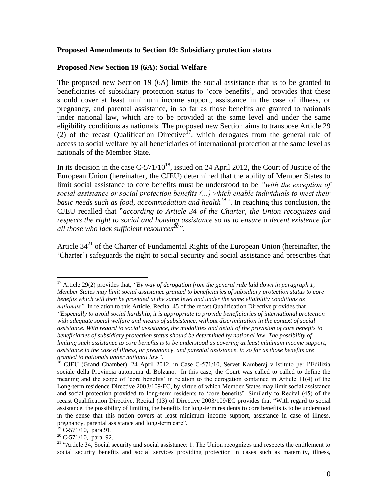#### **Proposed Amendments to Section 19: Subsidiary protection status**

#### **Proposed New Section 19 (6A): Social Welfare**

The proposed new Section 19 (6A) limits the social assistance that is to be granted to beneficiaries of subsidiary protection status to 'core benefits', and provides that these should cover at least minimum income support, assistance in the case of illness, or pregnancy, and parental assistance, in so far as those benefits are granted to nationals under national law, which are to be provided at the same level and under the same eligibility conditions as nationals. The proposed new Section aims to transpose Article 29 (2) of the recast Qualification Directive<sup>17</sup>, which derogates from the general rule of access to social welfare by all beneficiaries of international protection at the same level as nationals of the Member State.

In its decision in the case  $C-571/10^{18}$ , issued on 24 April 2012, the Court of Justice of the European Union (hereinafter, the CJEU) determined that the ability of Member States to limit social assistance to core benefits must be understood to be *"with the exception of social assistance or social protection benefits (…) which enable individuals to meet their basic needs such as food, accommodation and health<sup>19</sup> "*. In reaching this conclusion, the CJEU recalled that "*according to Article 34 of the Charter, the Union recognizes and respects the right to social and housing assistance so as to ensure a decent existence for all those who lack sufficient resources<sup>20</sup>".*

Article  $34<sup>21</sup>$  of the Charter of Fundamental Rights of the European Union (hereinafter, the "Charter") safeguards the right to social security and social assistance and prescribes that

 $\overline{a}$ 

 $20$  C-571/10, para. 92.

<sup>&</sup>lt;sup>17</sup> Article 29(2) provides that, *"By way of derogation from the general rule laid down in paragraph 1, Member States may limit social assistance granted to beneficiaries of subsidiary protection status to core benefits which will then be provided at the same level and under the same eligibility conditions as nationals"*. In relation to this Article, Recital 45 of the recast Qualification Directive provides that

*<sup>&</sup>quot;Especially to avoid social hardship, it is appropriate to provide beneficiaries of international protection with adequate social welfare and means of subsistence, without discrimination in the context of social assistance. With regard to social assistance, the modalities and detail of the provision of core benefits to beneficiaries of subsidiary protection status should be determined by national law. The possibility of limiting such assistance to core benefits is to be understood as covering at least minimum income support, assistance in the case of illness, or pregnancy, and parental assistance, in so far as those benefits are granted to nationals under national law"*.

<sup>&</sup>lt;sup>18</sup> CJEU (Grand Chamber), 24 April 2012, in Case C-571/10, Servet Kamberaj v Istituto per l'Edilizia sociale della Provincia autonoma di Bolzano. In this case, the Court was called to called to define the meaning and the scope of "core benefits" in relation to the derogation contained in Article 11(4) of the Long-term residence Directive 2003/109/EC, by virtue of which Member States may limit social assistance and social protection provided to long-term residents to 'core benefits'. Similarly to Recital (45) of the recast Qualification Directive, Recital (13) of Directive 2003/109/EC provides that "With regard to social assistance, the possibility of limiting the benefits for long-term residents to core benefits is to be understood in the sense that this notion covers at least minimum income support, assistance in case of illness, pregnancy, parental assistance and long-term care"*.*

 $^{19}$  C-571/10, para.91.

<sup>&</sup>lt;sup>21</sup> "Article 34, Social security and social assistance: 1. The Union recognizes and respects the entitlement to social security benefits and social services providing protection in cases such as maternity, illness,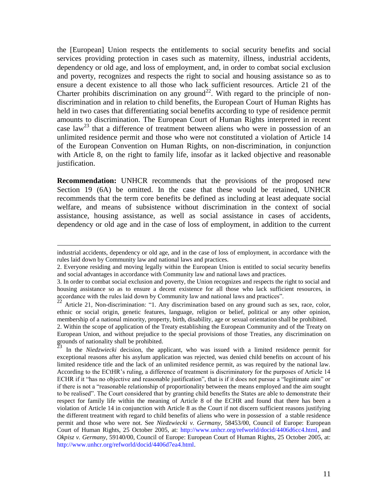the [European] Union respects the entitlements to social security benefits and social services providing protection in cases such as maternity, illness, industrial accidents, dependency or old age, and loss of employment, and, in order to combat social exclusion and poverty, recognizes and respects the right to social and housing assistance so as to ensure a decent existence to all those who lack sufficient resources. Article 21 of the Charter prohibits discrimination on any ground<sup>22</sup>. With regard to the principle of nondiscrimination and in relation to child benefits, the European Court of Human Rights has held in two cases that differentiating social benefits according to type of residence permit amounts to discrimination. The European Court of Human Rights interpreted in recent case law<sup>23</sup> that a difference of treatment between aliens who were in possession of an unlimited residence permit and those who were not constituted a violation of Article 14 of the European Convention on Human Rights, on non-discrimination, in conjunction with Article 8, on the right to family life, insofar as it lacked objective and reasonable justification.

**Recommendation:** UNHCR recommends that the provisions of the proposed new Section 19 (6A) be omitted. In the case that these would be retained, UNHCR recommends that the term core benefits be defined as including at least adequate social welfare, and means of subsistence without discrimination in the context of social assistance, housing assistance, as well as social assistance in cases of accidents, dependency or old age and in the case of loss of employment, in addition to the current

 $\overline{a}$ 

<sup>23</sup> In the *Niedzwiecki* decision, the applicant, who was issued with a limited residence permit for exceptional reasons after his asylum application was rejected, was denied child benefits on account of his limited residence title and the lack of an unlimited residence permit, as was required by the national law. According to the ECtHR"s ruling, a difference of treatment is discriminatory for the purposes of Article 14 ECHR if it "has no objective and reasonable justification", that is if it does not pursue a "legitimate aim" or if there is not a "reasonable relationship of proportionality between the means employed and the aim sought to be realised". The Court considered that by granting child benefits the States are able to demonstrate their respect for family life within the meaning of Article 8 of the ECHR and found that there has been a violation of Article 14 in conjunction with Article 8 as the Court if not discern sufficient reasons justifying the different treatment with regard to child benefits of aliens who were in possession of a stable residence permit and those who were not. See *Niedzwiecki v. Germany*, 58453/00, Council of Europe: European Court of Human Rights, 25 October 2005, at: http://www.unhcr.org/refworld/docid/4406d6cc4.html, and *Okpisz v. Germany*, 59140/00, Council of Europe: European Court of Human Rights, 25 October 2005, at: http://www.unhcr.org/refworld/docid/4406d7ea4.html.

industrial accidents, dependency or old age, and in the case of loss of employment, in accordance with the rules laid down by Community law and national laws and practices.

<sup>2.</sup> Everyone residing and moving legally within the European Union is entitled to social security benefits and social advantages in accordance with Community law and national laws and practices.

<sup>3.</sup> In order to combat social exclusion and poverty, the Union recognizes and respects the right to social and housing assistance so as to ensure a decent existence for all those who lack sufficient resources, in accordance with the rules laid down by Community law and national laws and practices".

<sup>&</sup>lt;sup>22</sup> Article 21, Non-discrimination: "1. Any discrimination based on any ground such as sex, race, color, ethnic or social origin, genetic features, language, religion or belief, political or any other opinion, membership of a national minority, property, birth, disability, age or sexual orientation shall be prohibited.

<sup>2.</sup> Within the scope of application of the Treaty establishing the European Community and of the Treaty on European Union, and without prejudice to the special provisions of those Treaties, any discrimination on grounds of nationality shall be prohibited.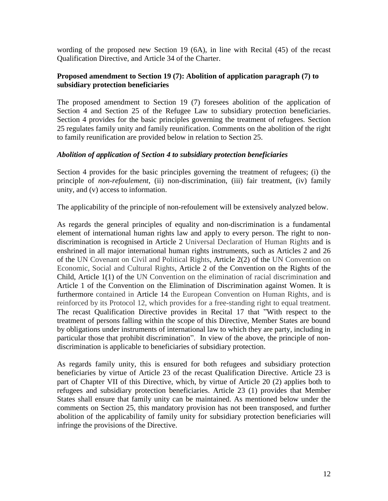wording of the proposed new Section 19 (6A), in line with Recital (45) of the recast Qualification Directive, and Article 34 of the Charter.

### **Proposed amendment to Section 19 (7): Abolition of application paragraph (7) to subsidiary protection beneficiaries**

The proposed amendment to Section 19 (7) foresees abolition of the application of Section 4 and Section 25 of the Refugee Law to subsidiary protection beneficiaries. Section 4 provides for the basic principles governing the treatment of refugees. Section 25 regulates family unity and family reunification. Comments on the abolition of the right to family reunification are provided below in relation to Section 25.

### *Abolition of application of Section 4 to subsidiary protection beneficiaries*

Section 4 provides for the basic principles governing the treatment of refugees; (i) the principle of *non-refoulement*, (ii) non-discrimination, (iii) fair treatment, (iv) family unity, and (v) access to information.

The applicability of the principle of non-refoulement will be extensively analyzed below.

As regards the general principles of equality and non-discrimination is a fundamental element of international human rights law and apply to every person. The right to nondiscrimination is recognised in Article 2 Universal Declaration of Human Rights and is enshrined in all major international human rights instruments, such as Articles 2 and 26 of the UN Covenant on Civil and Political Rights, Article 2(2) of the UN Convention on Economic, Social and Cultural Rights, Article 2 of the Convention on the Rights of the Child, Article 1(1) of the UN Convention on the elimination of racial discrimination and Article 1 of the Convention on the Elimination of Discrimination against Women. It is furthermore contained in Article 14 the European Convention on Human Rights, and is reinforced by its Protocol 12, which provides for a free-standing right to equal treatment. The recast Qualification Directive provides in Recital 17 that "With respect to the treatment of persons falling within the scope of this Directive, Member States are bound by obligations under instruments of international law to which they are party, including in particular those that prohibit discrimination". In view of the above, the principle of nondiscrimination is applicable to beneficiaries of subsidiary protection.

As regards family unity, this is ensured for both refugees and subsidiary protection beneficiaries by virtue of Article 23 of the recast Qualification Directive. Article 23 is part of Chapter VII of this Directive, which, by virtue of Article 20 (2) applies both to refugees and subsidiary protection beneficiaries. Article 23 (1) provides that Member States shall ensure that family unity can be maintained. As mentioned below under the comments on Section 25, this mandatory provision has not been transposed, and further abolition of the applicability of family unity for subsidiary protection beneficiaries will infringe the provisions of the Directive.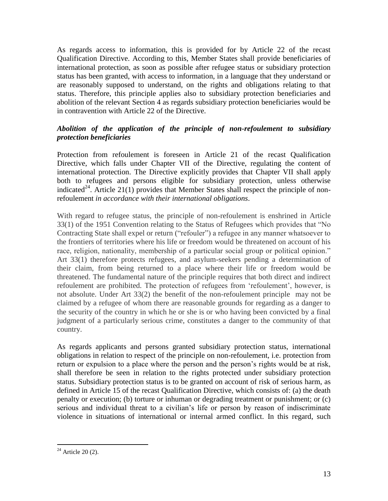As regards access to information, this is provided for by Article 22 of the recast Qualification Directive. According to this, Member States shall provide beneficiaries of international protection, as soon as possible after refugee status or subsidiary protection status has been granted, with access to information, in a language that they understand or are reasonably supposed to understand, on the rights and obligations relating to that status. Therefore, this principle applies also to subsidiary protection beneficiaries and abolition of the relevant Section 4 as regards subsidiary protection beneficiaries would be in contravention with Article 22 of the Directive.

# *Abolition of the application of the principle of non-refoulement to subsidiary protection beneficiaries*

Protection from refoulement is foreseen in Article 21 of the recast Qualification Directive, which falls under Chapter VII of the Directive, regulating the content of international protection. The Directive explicitly provides that Chapter VII shall apply both to refugees and persons eligible for subsidiary protection, unless otherwise indicated<sup>24</sup>. Article 21(1) provides that Member States shall respect the principle of nonrefoulement *in accordance with their international obligations*.

With regard to refugee status, the principle of non-refoulement is enshrined in Article 33(1) of the 1951 Convention relating to the Status of Refugees which provides that "No Contracting State shall expel or return ("refouler") a refugee in any manner whatsoever to the frontiers of territories where his life or freedom would be threatened on account of his race, religion, nationality, membership of a particular social group or political opinion." Art 33(1) therefore protects refugees, and asylum-seekers pending a determination of their claim, from being returned to a place where their life or freedom would be threatened. The fundamental nature of the principle requires that both direct and indirect refoulement are prohibited. The protection of refugees from "refoulement", however, is not absolute. Under Art 33(2) the benefit of the non-refoulement principle may not be claimed by a refugee of whom there are reasonable grounds for regarding as a danger to the security of the country in which he or she is or who having been convicted by a final judgment of a particularly serious crime, constitutes a danger to the community of that country.

As regards applicants and persons granted subsidiary protection status, international obligations in relation to respect of the principle on non-refoulement, i.e. protection from return or expulsion to a place where the person and the person"s rights would be at risk, shall therefore be seen in relation to the rights protected under subsidiary protection status. Subsidiary protection status is to be granted on account of risk of serious harm, as defined in Article 15 of the recast Qualification Directive, which consists of: (a) the death penalty or execution; (b) torture or inhuman or degrading treatment or punishment; or (c) serious and individual threat to a civilian"s life or person by reason of indiscriminate violence in situations of international or internal armed conflict. In this regard, such

 $24$  Article 20 (2).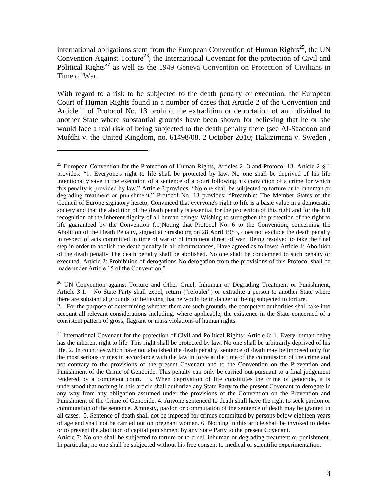international obligations stem from the European Convention of Human Rights<sup>25</sup>, the UN Convention Against Torture<sup>26</sup>, the International Covenant for the protection of Civil and Political Rights<sup>27</sup> as well as the 1949 Geneva Convention on Protection of Civilians in Time of War.

With regard to a risk to be subjected to the death penalty or execution, the European Court of Human Rights found in a number of cases that Article 2 of the Convention and Article 1 of Protocol No. 13 prohibit the extradition or deportation of an individual to another State where substantial grounds have been shown for believing that he or she would face a real risk of being subjected to the death penalty there (see Al-Saadoon and Mufdhi v. the United Kingdom, no. 61498/08, 2 October 2010; Hakizimana v. Sweden ,

 $\overline{a}$ 

<sup>26</sup> UN Convention against Torture and Other Cruel, Inhuman or Degrading Treatment or Punishment, Article 3:1. No State Party shall expel, return ("refouler") or extradite a person to another State where there are substantial grounds for believing that he would be in danger of being subjected to torture.

2. For the purpose of determining whether there are such grounds, the competent authorities shall take into account all relevant considerations including, where applicable, the existence in the State concerned of a consistent pattern of gross, flagrant or mass violations of human rights.

<sup>27</sup> International Covenant for the protection of Civil and Political Rights: Article 6: 1. Every human being has the inherent right to life. This right shall be protected by law. No one shall be arbitrarily deprived of his life. 2. In countries which have not abolished the death penalty, sentence of death may be imposed only for the most serious crimes in accordance with the law in force at the time of the commission of the crime and not contrary to the provisions of the present Covenant and to the Convention on the Prevention and Punishment of the Crime of Genocide. This penalty can only be carried out pursuant to a final judgement rendered by a competent court. 3. When deprivation of life constitutes the crime of genocide, it is understood that nothing in this article shall authorize any State Party to the present Covenant to derogate in any way from any obligation assumed under the provisions of the Convention on the Prevention and Punishment of the Crime of Genocide. 4. Anyone sentenced to death shall have the right to seek pardon or commutation of the sentence. Amnesty, pardon or commutation of the sentence of death may be granted in all cases. 5. Sentence of death shall not be imposed for crimes committed by persons below eighteen years of age and shall not be carried out on pregnant women. 6. Nothing in this article shall be invoked to delay or to prevent the abolition of capital punishment by any State Party to the present Covenant.

Article 7: No one shall be subjected to torture or to cruel, inhuman or degrading treatment or punishment. In particular, no one shall be subjected without his free consent to medical or scientific experimentation.

<sup>&</sup>lt;sup>25</sup> European Convention for the Protection of Human Rights, Articles 2, 3 and Protocol 13. Article 2  $\S$  1 provides: "1. Everyone's right to life shall be protected by law. No one shall be deprived of his life intentionally save in the execution of a sentence of a court following his conviction of a crime for which this penalty is provided by law." Article 3 provides: "No one shall be subjected to torture or to inhuman or degrading treatment or punishment." Protocol No. 13 provides: "Preamble: The Member States of the Council of Europe signatory hereto, Convinced that everyone's right to life is a basic value in a democratic society and that the abolition of the death penalty is essential for the protection of this right and for the full recognition of the inherent dignity of all human beings; Wishing to strengthen the protection of the right to life guaranteed by the Convention (...)Noting that Protocol No. 6 to the Convention, concerning the Abolition of the Death Penalty, signed at Strasbourg on 28 April 1983, does not exclude the death penalty in respect of acts committed in time of war or of imminent threat of war; Being resolved to take the final step in order to abolish the death penalty in all circumstances, Have agreed as follows: Article 1: Abolition of the death penalty The death penalty shall be abolished. No one shall be condemned to such penalty or executed. Article 2: Prohibition of derogations No derogation from the provisions of this Protocol shall be made under Article 15 of the Convention."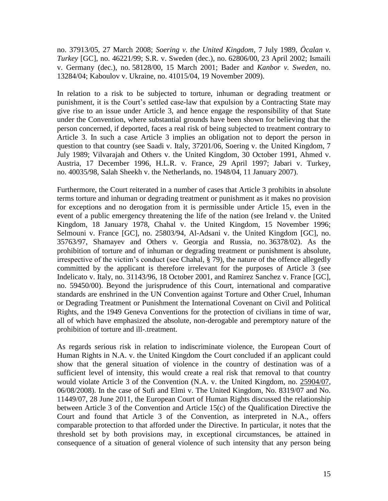no. [37913/05,](http://hudoc.echr.coe.int/sites/eng/pages/search.aspx#{) 27 March 2008; *Soering v. the United Kingdom*, 7 July 1989, *Öcalan v. Turkey* [GC], no. 46221/99; S.R. v. Sweden (dec.), no. [62806/00,](http://hudoc.echr.coe.int/sites/eng/pages/search.aspx#{) 23 April 2002; Ismaili v. Germany (dec.), no. [58128/00,](http://hudoc.echr.coe.int/sites/eng/pages/search.aspx#{) 15 March 2001; Bader and *Kanbor v. Sweden*, no. 13284/04; Kaboulov v. Ukraine, no. [41015/04,](http://hudoc.echr.coe.int/sites/eng/pages/search.aspx#{) 19 November 2009).

In relation to a risk to be subjected to torture, inhuman or degrading treatment or punishment, it is the Court"s settled case-law that expulsion by a Contracting State may give rise to an issue under Article 3, and hence engage the responsibility of that State under the Convention, where substantial grounds have been shown for believing that the person concerned, if deported, faces a real risk of being subjected to treatment contrary to Article 3. In such a case Article 3 implies an obligation not to deport the person in question to that country (see Saadi v. Italy, [37201/06,](http://hudoc.echr.coe.int/sites/eng/pages/search.aspx#{) Soering v. the United Kingdom, 7 July 1989; Vilvarajah and Others v. the United Kingdom, 30 October 1991, Ahmed v. Austria, 17 December 1996, H.L.R. v. France, 29 April 1997; Jabari v. Turkey, no. [40035/98,](http://hudoc.echr.coe.int/sites/eng/pages/search.aspx#{) Salah Sheekh v. the Netherlands, no. [1948/04,](http://hudoc.echr.coe.int/sites/eng/pages/search.aspx#{) 11 January 2007).

Furthermore, the Court reiterated in a number of cases that Article 3 prohibits in absolute terms torture and inhuman or degrading treatment or punishment as it makes no provision for exceptions and no derogation from it is permissible under Article 15, even in the event of a public emergency threatening the life of the nation (see Ireland v. the United Kingdom, 18 January 1978, Chahal v. the United Kingdom, 15 November 1996; Selmouni v. France [GC], no. [25803/94,](http://hudoc.echr.coe.int/sites/eng/pages/search.aspx#{) Al-Adsani v. the United Kingdom [GC], no. [35763/97,](http://hudoc.echr.coe.int/sites/eng/pages/search.aspx#{) Shamayev and Others v. Georgia and Russia, no. [36378/02\)](http://hudoc.echr.coe.int/sites/eng/pages/search.aspx#{). As the prohibition of torture and of inhuman or degrading treatment or punishment is absolute, irrespective of the victim"s conduct (see Chahal, § 79), the nature of the offence allegedly committed by the applicant is therefore irrelevant for the purposes of Article 3 (see Indelicato v. Italy, no. [31143/96,](http://hudoc.echr.coe.int/sites/eng/pages/search.aspx#{) 18 October 2001, and Ramirez Sanchez v. France [GC], no. [59450/00\)](http://hudoc.echr.coe.int/sites/eng/pages/search.aspx#{). Beyond the jurisprudence of this Court, international and comparative standards are enshrined in the UN Convention against Torture and Other Cruel, Inhuman or Degrading Treatment or Punishment the International Covenant on Civil and Political Rights, and the 1949 Geneva Conventions for the protection of civilians in time of war, all of which have emphasized the absolute, non-derogable and peremptory nature of the prohibition of torture and ill-.treatment.

As regards serious risk in relation to indiscriminate violence, the European Court of Human Rights in N.A. v. the United Kingdom the Court concluded if an applicant could show that the general situation of violence in the country of destination was of a sufficient level of intensity, this would create a real risk that removal to that country would violate Article 3 of the Convention (N.A. v. the United Kingdom, no. [25904/07,](http://hudoc.echr.coe.int/sites/eng/pages/search.aspx#{) 06/08/2008). In the case of Sufi and Elmi v. The United Kingdom, No. 8319/07 and No. 11449/07, 28 June 2011, the European Court of Human Rights discussed the relationship between Article 3 of the Convention and Article 15(c) of the Qualification Directive the Court and found that Article 3 of the Convention, as interpreted in N.A., offers comparable protection to that afforded under the Directive. In particular, it notes that the threshold set by both provisions may, in exceptional circumstances, be attained in consequence of a situation of general violence of such intensity that any person being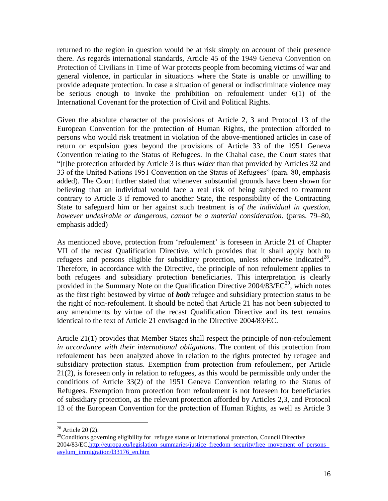returned to the region in question would be at risk simply on account of their presence there. As regards international standards, Article 45 of the 1949 Geneva Convention on Protection of Civilians in Time of War protects people from becoming victims of war and general violence, in particular in situations where the State is unable or unwilling to provide adequate protection. In case a situation of general or indiscriminate violence may be serious enough to invoke the prohibition on refoulement under 6(1) of the International Covenant for the protection of Civil and Political Rights.

Given the absolute character of the provisions of Article 2, 3 and Protocol 13 of the European Convention for the protection of Human Rights, the protection afforded to persons who would risk treatment in violation of the above-mentioned articles in case of return or expulsion goes beyond the provisions of Article 33 of the 1951 Geneva Convention relating to the Status of Refugees. In the Chahal case, the Court states that "[t]he protection afforded by Article 3 is thus *wider* than that provided by Articles 32 and 33 of the United Nations 1951 Convention on the Status of Refugees" (para. 80, emphasis added). The Court further stated that whenever substantial grounds have been shown for believing that an individual would face a real risk of being subjected to treatment contrary to Article 3 if removed to another State, the responsibility of the Contracting State to safeguard him or her against such treatment is *of the individual in question, however undesirable or dangerous, cannot be a material consideration*. (paras. 79–80, emphasis added)

As mentioned above, protection from "refoulement" is foreseen in Article 21 of Chapter VII of the recast Qualification Directive, which provides that it shall apply both to refugees and persons eligible for subsidiary protection, unless otherwise indicated<sup>28</sup>. Therefore, in accordance with the Directive, the principle of non refoulement applies to both refugees and subsidiary protection beneficiaries. This interpretation is clearly provided in the Summary Note on the Qualification Directive  $2004/83/EC^{29}$ , which notes as the first right bestowed by virtue of *both* refugee and subsidiary protection status to be the right of non-refoulement. It should be noted that Article 21 has not been subjected to any amendments by virtue of the recast Qualification Directive and its text remains identical to the text of Article 21 envisaged in the Directive 2004/83/EC.

Article 21(1) provides that Member States shall respect the principle of non-refoulement *in accordance with their international obligations*. The content of this protection from refoulement has been analyzed above in relation to the rights protected by refugee and subsidiary protection status. Exemption from protection from refoulement, per Article 21(2), is foreseen only in relation to refugees, as this would be permissible only under the conditions of Article 33(2) of the 1951 Geneva Convention relating to the Status of Refugees. Exemption from protection from refoulement is not foreseen for beneficiaries of subsidiary protection, as the relevant protection afforded by Articles 2,3, and Protocol 13 of the European Convention for the protection of Human Rights, as well as Article 3

 $28$  Article 20 (2).

<sup>&</sup>lt;sup>29</sup>Conditions governing eligibility for refugee status or international protection, Council Directive 2004/83/EC,http://europa.eu/legislation\_summaries/justice\_freedom\_security/free\_movement\_of\_persons [asylum\\_immigration/l33176\\_en.htm](http://europa.eu/legislation_summaries/justice_freedom_security/free_movement_of_persons_asylum_immigration/l33176_en.htm)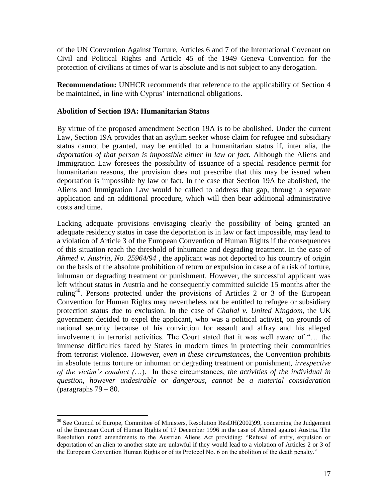of the UN Convention Against Torture, Articles 6 and 7 of the International Covenant on Civil and Political Rights and Article 45 of the 1949 Geneva Convention for the protection of civilians at times of war is absolute and is not subject to any derogation.

**Recommendation:** UNHCR recommends that reference to the applicability of Section 4 be maintained, in line with Cyprus' international obligations.

### **Abolition of Section 19A: Humanitarian Status**

By virtue of the proposed amendment Section 19A is to be abolished. Under the current Law, Section 19A provides that an asylum seeker whose claim for refugee and subsidiary status cannot be granted, may be entitled to a humanitarian status if, inter alia, the *deportation of that person is impossible either in law or fact.* Although the Aliens and Immigration Law foresees the possibility of issuance of a special residence permit for humanitarian reasons, the provision does not prescribe that this may be issued when deportation is impossible by law or fact. In the case that Section 19A be abolished, the Aliens and Immigration Law would be called to address that gap, through a separate application and an additional procedure, which will then bear additional administrative costs and time.

Lacking adequate provisions envisaging clearly the possibility of being granted an adequate residency status in case the deportation is in law or fact impossible, may lead to a violation of Article 3 of the European Convention of Human Rights if the consequences of this situation reach the threshold of inhumane and degrading treatment. In the case of *Ahmed v. Austria, No. 25964/94* , the applicant was not deported to his country of origin on the basis of the absolute prohibition of return or expulsion in case a of a risk of torture, inhuman or degrading treatment or punishment. However, the successful applicant was left without status in Austria and he consequently committed suicide 15 months after the ruling<sup>30</sup>. Persons protected under the provisions of Articles 2 or 3 of the European Convention for Human Rights may nevertheless not be entitled to refugee or subsidiary protection status due to exclusion. In the case of *Chahal v. United Kingdom*, the UK government decided to expel the applicant, who was a political activist, on grounds of national security because of his conviction for assault and affray and his alleged involvement in terrorist activities. The Court stated that it was well aware of "… the immense difficulties faced by States in modern times in protecting their communities from terrorist violence. However, *even in these circumstances*, the Convention prohibits in absolute terms torture or inhuman or degrading treatment or punishment, *irrespective of the victim's conduct (*…). In these circumstances, *the activities of the individual in question, however undesirable or dangerous, cannot be a material consideration*  (paragraphs  $79 - 80$ .

 $\overline{a}$ <sup>30</sup> See Council of Europe, Committee of Ministers, Resolution ResDH(2002)99, concerning the Judgement of the European Court of Human Rights of 17 December 1996 in the case of Ahmed against Austria. The Resolution noted amendments to the Austrian Aliens Act providing: "Refusal of entry, expulsion or deportation of an alien to another state are unlawful if they would lead to a violation of Articles 2 or 3 of the European Convention Human Rights or of its Protocol No. 6 on the abolition of the death penalty."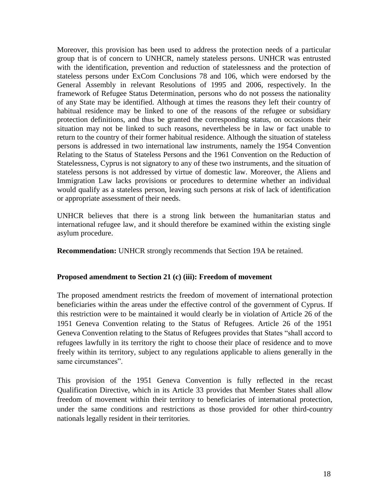Moreover, this provision has been used to address the protection needs of a particular group that is of concern to UNHCR, namely stateless persons. UNHCR was entrusted with the identification, prevention and reduction of statelessness and the protection of stateless persons under ExCom Conclusions 78 and 106, which were endorsed by the General Assembly in relevant Resolutions of 1995 and 2006, respectively. In the framework of Refugee Status Determination, persons who do not possess the nationality of any State may be identified. Although at times the reasons they left their country of habitual residence may be linked to one of the reasons of the refugee or subsidiary protection definitions, and thus be granted the corresponding status, on occasions their situation may not be linked to such reasons, nevertheless be in law or fact unable to return to the country of their former habitual residence. Although the situation of stateless persons is addressed in two international law instruments, namely the 1954 Convention Relating to the Status of Stateless Persons and the 1961 Convention on the Reduction of Statelessness, Cyprus is not signatory to any of these two instruments, and the situation of stateless persons is not addressed by virtue of domestic law. Moreover, the Aliens and Immigration Law lacks provisions or procedures to determine whether an individual would qualify as a stateless person, leaving such persons at risk of lack of identification or appropriate assessment of their needs.

UNHCR believes that there is a strong link between the humanitarian status and international refugee law, and it should therefore be examined within the existing single asylum procedure.

**Recommendation:** UNHCR strongly recommends that Section 19A be retained.

#### **Proposed amendment to Section 21 (c) (iii): Freedom of movement**

The proposed amendment restricts the freedom of movement of international protection beneficiaries within the areas under the effective control of the government of Cyprus. If this restriction were to be maintained it would clearly be in violation of Article 26 of the 1951 Geneva Convention relating to the Status of Refugees. Article 26 of the 1951 Geneva Convention relating to the Status of Refugees provides that States "shall accord to refugees lawfully in its territory the right to choose their place of residence and to move freely within its territory, subject to any regulations applicable to aliens generally in the same circumstances".

This provision of the 1951 Geneva Convention is fully reflected in the recast Qualification Directive, which in its Article 33 provides that Member States shall allow freedom of movement within their territory to beneficiaries of international protection, under the same conditions and restrictions as those provided for other third-country nationals legally resident in their territories.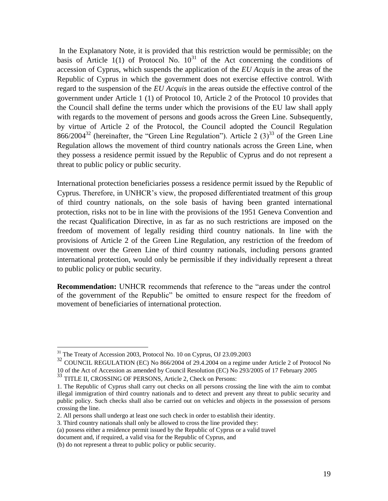In the Explanatory Note, it is provided that this restriction would be permissible; on the basis of Article 1(1) of Protocol No.  $10^{31}$  of the Act concerning the conditions of accession of Cyprus, which suspends the application of the *EU Acquis* in the areas of the Republic of Cyprus in which the government does not exercise effective control. With regard to the suspension of the *EU Acquis* in the areas outside the effective control of the government under Article 1 (1) of Protocol 10, Article 2 of the Protocol 10 provides that the Council shall define the terms under which the provisions of the EU law shall apply with regards to the movement of persons and goods across the Green Line. Subsequently, by virtue of Article 2 of the Protocol, the Council adopted the Council Regulation  $866/2004^{32}$  (hereinafter, the "Green Line Regulation"). Article 2 (3)<sup>33</sup> of the Green Line Regulation allows the movement of third country nationals across the Green Line, when they possess a residence permit issued by the Republic of Cyprus and do not represent a threat to public policy or public security.

International protection beneficiaries possess a residence permit issued by the Republic of Cyprus. Therefore, in UNHCR"s view, the proposed differentiated treatment of this group of third country nationals, on the sole basis of having been granted international protection, risks not to be in line with the provisions of the 1951 Geneva Convention and the recast Qualification Directive, in as far as no such restrictions are imposed on the freedom of movement of legally residing third country nationals. In line with the provisions of Article 2 of the Green Line Regulation, any restriction of the freedom of movement over the Green Line of third country nationals, including persons granted international protection, would only be permissible if they individually represent a threat to public policy or public security.

**Recommendation:** UNHCR recommends that reference to the "areas under the control of the government of the Republic" be omitted to ensure respect for the freedom of movement of beneficiaries of international protection.

 $31$  The Treaty of Accession 2003, Protocol No. 10 on Cyprus, OJ 23.09.2003

 $32$  COUNCIL REGULATION (EC) No 866/2004 of 29.4.2004 on a regime under Article 2 of Protocol No 10 of the Act of Accession as amended by Council Resolution (EC) No 293/2005 of 17 February 2005

<sup>&</sup>lt;sup>33</sup> TITLE II, CROSSING OF PERSONS, Article 2, Check on Persons:

<sup>1.</sup> The Republic of Cyprus shall carry out checks on all persons crossing the line with the aim to combat illegal immigration of third country nationals and to detect and prevent any threat to public security and public policy. Such checks shall also be carried out on vehicles and objects in the possession of persons crossing the line.

<sup>2.</sup> All persons shall undergo at least one such check in order to establish their identity.

<sup>3.</sup> Third country nationals shall only be allowed to cross the line provided they:

<sup>(</sup>a) possess either a residence permit issued by the Republic of Cyprus or a valid travel

document and, if required, a valid visa for the Republic of Cyprus, and

<sup>(</sup>b) do not represent a threat to public policy or public security.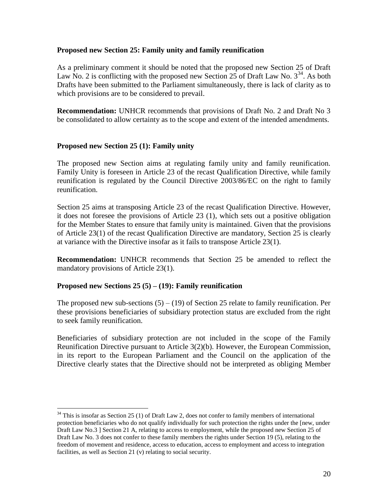#### **Proposed new Section 25: Family unity and family reunification**

As a preliminary comment it should be noted that the proposed new Section 25 of Draft Law No. 2 is conflicting with the proposed new Section 25 of Draft Law No.  $3^{34}$ . As both Drafts have been submitted to the Parliament simultaneously, there is lack of clarity as to which provisions are to be considered to prevail.

**Recommendation:** UNHCR recommends that provisions of Draft No. 2 and Draft No 3 be consolidated to allow certainty as to the scope and extent of the intended amendments.

### **Proposed new Section 25 (1): Family unity**

The proposed new Section aims at regulating family unity and family reunification. Family Unity is foreseen in Article 23 of the recast Qualification Directive, while family reunification is regulated by the Council Directive 2003/86/EC on the right to family reunification.

Section 25 aims at transposing Article 23 of the recast Qualification Directive. However, it does not foresee the provisions of Article 23 (1), which sets out a positive obligation for the Member States to ensure that family unity is maintained. Given that the provisions of Article 23(1) of the recast Qualification Directive are mandatory, Section 25 is clearly at variance with the Directive insofar as it fails to transpose Article 23(1).

**Recommendation:** UNHCR recommends that Section 25 be amended to reflect the mandatory provisions of Article 23(1).

# **Proposed new Sections 25 (5) – (19): Family reunification**

 $\overline{a}$ 

The proposed new sub-sections  $(5) - (19)$  of Section 25 relate to family reunification. Per these provisions beneficiaries of subsidiary protection status are excluded from the right to seek family reunification.

Beneficiaries of subsidiary protection are not included in the scope of the Family Reunification Directive pursuant to Article 3(2)(b). However, the European Commission, in its report to the European Parliament and the Council on the application of the Directive clearly states that the Directive should not be interpreted as obliging Member

 $34$  This is insofar as Section 25 (1) of Draft Law 2, does not confer to family members of international protection beneficiaries who do not qualify individually for such protection the rights under the [new, under Draft Law No.3 ] Section 21 A, relating to access to employment, while the proposed new Section 25 of Draft Law No. 3 does not confer to these family members the rights under Section 19 (5), relating to the freedom of movement and residence, access to education, access to employment and access to integration facilities, as well as Section 21 (v) relating to social security.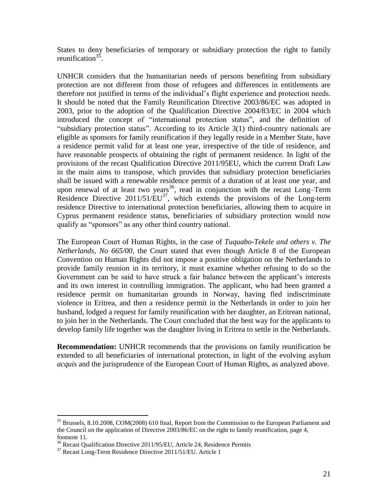States to deny beneficiaries of temporary or subsidiary protection the right to family reunification<sup>35</sup>.

UNHCR considers that the humanitarian needs of persons benefiting from subsidiary protection are not different from those of refugees and differences in entitlements are therefore not justified in terms of the individual"s flight experience and protection needs. It should be noted that the Family Reunification Directive 2003/86/EC was adopted in 2003, prior to the adoption of the Qualification Directive 2004/83/EC in 2004 which introduced the concept of "international protection status", and the definition of "subsidiary protection status". According to its Article 3(1) third-country nationals are eligible as sponsors for family reunification if they legally reside in a Member State, have a residence permit valid for at least one year, irrespective of the title of residence, and have reasonable prospects of obtaining the right of permanent residence. In light of the provisions of the recast Qualification Directive 2011/95EU, which the current Draft Law in the main aims to transpose, which provides that subsidiary protection beneficiaries shall be issued with a renewable residence permit of a duration of at least one year, and upon renewal of at least two years<sup>36</sup>, read in conjunction with the recast Long–Term Residence Directive  $2011/51/EU^{37}$ , which extends the provisions of the Long-term residence Directive to international protection beneficiaries, allowing them to acquire in Cyprus permanent residence status, beneficiaries of subsidiary protection would now qualify as "sponsors" as any other third country national.

The European Court of Human Rights, in the case of *Tuquabo-Tekele and others v. The Netherlands, No 665/00,* the Court stated that even though Article 8 of the European Convention on Human Rights did not impose a positive obligation on the Netherlands to provide family reunion in its territory, it must examine whether refusing to do so the Government can be said to have struck a fair balance between the applicant's interests and its own interest in controlling immigration. The applicant, who had been granted a residence permit on humanitarian grounds in Norway, having fled indiscriminate violence in Eritrea, and then a residence permit in the Netherlands in order to join her husband, lodged a request for family reunification with her daughter, an Eritrean national, to join her in the Netherlands. The Court concluded that the best way for the applicants to develop family life together was the daughter living in Eritrea to settle in the Netherlands.

**Recommendation:** UNHCR recommends that the provisions on family reunification be extended to all beneficiaries of international protection, in light of the evolving asylum *acquis* and the jurisprudence of the European Court of Human Rights, as analyzed above.

<sup>&</sup>lt;sup>35</sup> Brussels, 8.10.2008, COM(2008) 610 final, Report from the Commission to the European Parliament and the Council on the application of Directive 2003/86/EC on the right to family reunification, page 4, footnote 11.

<sup>&</sup>lt;sup>36</sup> Recast Qualification Directive 2011/95/EU, Article 24, Residence Permits

<sup>&</sup>lt;sup>37</sup> Recast Long-Term Residence Directive 2011/51/EU. Article 1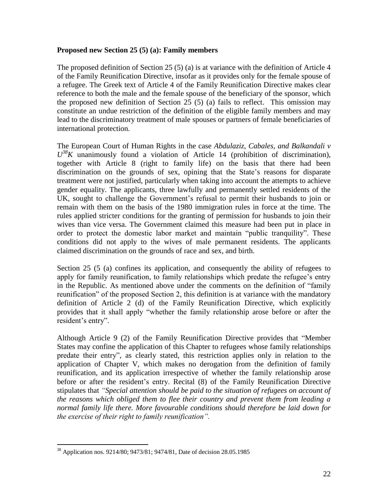#### **Proposed new Section 25 (5) (a): Family members**

The proposed definition of Section 25 (5) (a) is at variance with the definition of Article 4 of the Family Reunification Directive, insofar as it provides only for the female spouse of a refugee. The Greek text of Article 4 of the Family Reunification Directive makes clear reference to both the male and the female spouse of the beneficiary of the sponsor, which the proposed new definition of Section 25 (5) (a) fails to reflect. This omission may constitute an undue restriction of the definition of the eligible family members and may lead to the discriminatory treatment of male spouses or partners of female beneficiaries of international protection.

The European Court of Human Rights in the case *Abdulaziz, Cabales, and Balkandali v*   $U^{38}K$  unanimously found a violation of Article 14 (prohibition of discrimination), together with Article 8 (right to family life) on the basis that there had been discrimination on the grounds of sex, opining that the State's reasons for disparate treatment were not justified, particularly when taking into account the attempts to achieve gender equality. The applicants, three lawfully and permanently settled residents of the UK, sought to challenge the Government"s refusal to permit their husbands to join or remain with them on the basis of the 1980 immigration rules in force at the time. The rules applied stricter conditions for the granting of permission for husbands to join their wives than vice versa. The Government claimed this measure had been put in place in order to protect the domestic labor market and maintain "public tranquility". These conditions did not apply to the wives of male permanent residents. The applicants claimed discrimination on the grounds of race and sex, and birth.

Section 25 (5 (a) confines its application, and consequently the ability of refugees to apply for family reunification, to family relationships which predate the refugee"s entry in the Republic. As mentioned above under the comments on the definition of "family reunification" of the proposed Section 2, this definition is at variance with the mandatory definition of Article 2 (d) of the Family Reunification Directive, which explicitly provides that it shall apply "whether the family relationship arose before or after the resident's entry".

Although Article 9 (2) of the Family Reunification Directive provides that "Member States may confine the application of this Chapter to refugees whose family relationships predate their entry", as clearly stated, this restriction applies only in relation to the application of Chapter V, which makes no derogation from the definition of family reunification, and its application irrespective of whether the family relationship arose before or after the resident's entry. Recital (8) of the Family Reunification Directive stipulates that *"Special attention should be paid to the situation of refugees on account of the reasons which obliged them to flee their country and prevent them from leading a normal family life there. More favourable conditions should therefore be laid down for the exercise of their right to family reunification".*

<sup>&</sup>lt;sup>38</sup> Application nos. 9214/80; 9473/81; 9474/81, Date of decision 28.05.1985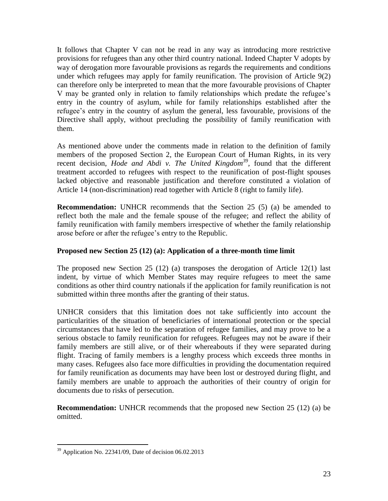It follows that Chapter V can not be read in any way as introducing more restrictive provisions for refugees than any other third country national. Indeed Chapter V adopts by way of derogation more favourable provisions as regards the requirements and conditions under which refugees may apply for family reunification. The provision of Article 9(2) can therefore only be interpreted to mean that the more favourable provisions of Chapter V may be granted only in relation to family relationships which predate the refugee"s entry in the country of asylum, while for family relationships established after the refugee's entry in the country of asylum the general, less favourable, provisions of the Directive shall apply, without precluding the possibility of family reunification with them.

As mentioned above under the comments made in relation to the definition of family members of the proposed Section 2, the European Court of Human Rights, in its very recent decision, *Hode and Abdi v. The United Kingdom<sup>39</sup>*, found that the different treatment accorded to refugees with respect to the reunification of post-flight spouses lacked objective and reasonable justification and therefore constituted a violation of Article 14 (non-discrimination) read together with Article 8 (right to family life).

**Recommendation:** UNHCR recommends that the Section 25 (5) (a) be amended to reflect both the male and the female spouse of the refugee; and reflect the ability of family reunification with family members irrespective of whether the family relationship arose before or after the refugee"s entry to the Republic.

# **Proposed new Section 25 (12) (a): Application of a three-month time limit**

The proposed new Section 25 (12) (a) transposes the derogation of Article 12(1) last indent, by virtue of which Member States may require refugees to meet the same conditions as other third country nationals if the application for family reunification is not submitted within three months after the granting of their status.

UNHCR considers that this limitation does not take sufficiently into account the particularities of the situation of beneficiaries of international protection or the special circumstances that have led to the separation of refugee families, and may prove to be a serious obstacle to family reunification for refugees. Refugees may not be aware if their family members are still alive, or of their whereabouts if they were separated during flight. Tracing of family members is a lengthy process which exceeds three months in many cases. Refugees also face more difficulties in providing the documentation required for family reunification as documents may have been lost or destroyed during flight, and family members are unable to approach the authorities of their country of origin for documents due to risks of persecution.

**Recommendation:** UNHCR recommends that the proposed new Section 25 (12) (a) be omitted.

 $39$  Application No. 22341/09, Date of decision 06.02.2013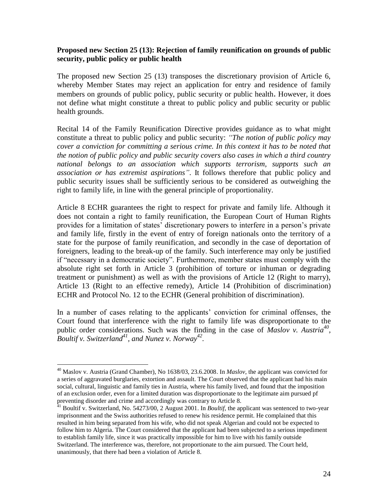### **Proposed new Section 25 (13): Rejection of family reunification on grounds of public security, public policy or public health**

The proposed new Section 25 (13) transposes the discretionary provision of Article 6, whereby Member States may reject an application for entry and residence of family members on grounds of public policy, public security or public health. However, it does not define what might constitute a threat to public policy and public security or public health grounds.

Recital 14 of the Family Reunification Directive provides guidance as to what might constitute a threat to public policy and public security: *"The notion of public policy may cover a conviction for committing a serious crime. In this context it has to be noted that the notion of public policy and public security covers also cases in which a third country national belongs to an association which supports terrorism, supports such an association or has extremist aspirations"*. It follows therefore that public policy and public security issues shall be sufficiently serious to be considered as outweighing the right to family life, in line with the general principle of proportionality.

Article 8 ECHR guarantees the right to respect for private and family life. Although it does not contain a right to family reunification, the European Court of Human Rights provides for a limitation of states" discretionary powers to interfere in a person"s private and family life, firstly in the event of entry of foreign nationals onto the territory of a state for the purpose of family reunification, and secondly in the case of deportation of foreigners, leading to the break-up of the family. Such interference may only be justified if "necessary in a democratic society". Furthermore, member states must comply with the absolute right set forth in Article 3 (prohibition of torture or inhuman or degrading treatment or punishment) as well as with the provisions of Article 12 (Right to marry), Article 13 (Right to an effective remedy), Article 14 (Prohibition of discrimination) ECHR and Protocol No. 12 to the ECHR (General prohibition of discrimination).

In a number of cases relating to the applicants" conviction for criminal offenses, the Court found that interference with the right to family life was disproportionate to the public order considerations. Such was the finding in the case of *Maslov v. Austria*<sup>40</sup>, *Boultif v. Switzerland<sup>41</sup> , and Nunez v. Norway<sup>42</sup> .*

<sup>40</sup> Maslov v. Austria (Grand Chamber), No 1638/03, 23.6.2008. In *Maslov*, the applicant was convicted for a series of aggravated burglaries, extortion and assault. The Court observed that the applicant had his main social, cultural, linguistic and family ties in Austria, where his family lived, and found that the imposition of an exclusion order, even for a limited duration was disproportionate to the legitimate aim pursued pf preventing disorder and crime and accordingly was contrary to Article 8.

<sup>&</sup>lt;sup>41</sup> Boultif v. Switzerland, No. 54273/00, 2 August 2001. In *Boultif*, the applicant was sentenced to two-year imprisonment and the Swiss authorities refused to renew his residence permit. He complained that this resulted in him being separated from his wife, who did not speak Algerian and could not be expected to follow him to Algeria. The Court considered that the applicant had been subjected to a serious impediment to establish family life, since it was practically impossible for him to live with his family outside Switzerland. The interference was, therefore, not proportionate to the aim pursued. The Court held, unanimously, that there had been a violation of Article 8.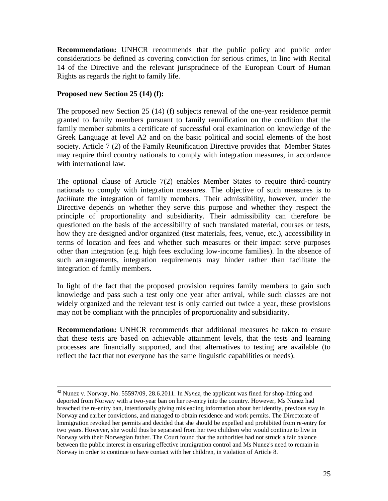**Recommendation:** UNHCR recommends that the public policy and public order considerations be defined as covering conviction for serious crimes, in line with Recital 14 of the Directive and the relevant jurisprudnece of the European Court of Human Rights as regards the right to family life.

### **Proposed new Section 25 (14) (f):**

 $\overline{a}$ 

The proposed new Section 25 (14) (f) subjects renewal of the one-year residence permit granted to family members pursuant to family reunification on the condition that the family member submits a certificate of successful oral examination on knowledge of the Greek Language at level A2 and on the basic political and social elements of the host society. Article 7 (2) of the Family Reunification Directive provides that Member States may require third country nationals to comply with integration measures, in accordance with international law.

The optional clause of Article 7(2) enables Member States to require third-country nationals to comply with integration measures. The objective of such measures is to *facilitate* the integration of family members. Their admissibility, however, under the Directive depends on whether they serve this purpose and whether they respect the principle of proportionality and subsidiarity. Their admissibility can therefore be questioned on the basis of the accessibility of such translated material, courses or tests, how they are designed and/or organized (test materials, fees, venue, etc.), accessibility in terms of location and fees and whether such measures or their impact serve purposes other than integration (e.g. high fees excluding low-income families). In the absence of such arrangements, integration requirements may hinder rather than facilitate the integration of family members.

In light of the fact that the proposed provision requires family members to gain such knowledge and pass such a test only one year after arrival, while such classes are not widely organized and the relevant test is only carried out twice a year, these provisions may not be compliant with the principles of proportionality and subsidiarity.

**Recommendation:** UNHCR recommends that additional measures be taken to ensure that these tests are based on achievable attainment levels, that the tests and learning processes are financially supported, and that alternatives to testing are available (to reflect the fact that not everyone has the same linguistic capabilities or needs).

<sup>42</sup> Nunez v. Norway, No. 55597/09, 28.6.2011. In *Nunez,* the applicant was fined for shop-lifting and deported from Norway with a two-year ban on her re-entry into the country. However, Ms Nunez had breached the re-entry ban, intentionally giving misleading information about her identity, previous stay in Norway and earlier convictions, and managed to obtain residence and work permits. The Directorate of Immigration revoked her permits and decided that she should be expelled and prohibited from re-entry for two years. However, she would thus be separated from her two children who would continue to live in Norway with their Norwegian father. The Court found that the authorities had not struck a fair balance between the public interest in ensuring effective immigration control and Ms Nunez's need to remain in Norway in order to continue to have contact with her children, in violation of Article 8.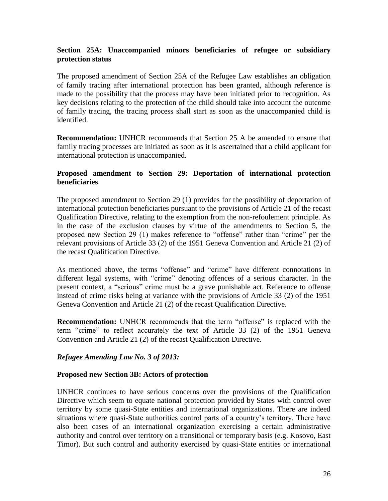# **Section 25A: Unaccompanied minors beneficiaries of refugee or subsidiary protection status**

The proposed amendment of Section 25A of the Refugee Law establishes an obligation of family tracing after international protection has been granted, although reference is made to the possibility that the process may have been initiated prior to recognition. As key decisions relating to the protection of the child should take into account the outcome of family tracing, the tracing process shall start as soon as the unaccompanied child is identified.

**Recommendation:** UNHCR recommends that Section 25 A be amended to ensure that family tracing processes are initiated as soon as it is ascertained that a child applicant for international protection is unaccompanied.

# **Proposed amendment to Section 29: Deportation of international protection beneficiaries**

The proposed amendment to Section 29 (1) provides for the possibility of deportation of international protection beneficiaries pursuant to the provisions of Article 21 of the recast Qualification Directive, relating to the exemption from the non-refoulement principle. As in the case of the exclusion clauses by virtue of the amendments to Section 5, the proposed new Section 29 (1) makes reference to "offense" rather than "crime" per the relevant provisions of Article 33 (2) of the 1951 Geneva Convention and Article 21 (2) of the recast Qualification Directive.

As mentioned above, the terms "offense" and "crime" have different connotations in different legal systems, with "crime" denoting offences of a serious character. In the present context, a "serious" crime must be a grave punishable act. Reference to offense instead of crime risks being at variance with the provisions of Article 33 (2) of the 1951 Geneva Convention and Article 21 (2) of the recast Qualification Directive.

**Recommendation:** UNHCR recommends that the term "offense" is replaced with the term "crime" to reflect accurately the text of Article 33 (2) of the 1951 Geneva Convention and Article 21 (2) of the recast Qualification Directive.

# *Refugee Amending Law No. 3 of 2013:*

#### **Proposed new Section 3B: Actors of protection**

UNHCR continues to have serious concerns over the provisions of the Qualification Directive which seem to equate national protection provided by States with control over territory by some quasi-State entities and international organizations. There are indeed situations where quasi-State authorities control parts of a country"s territory. There have also been cases of an international organization exercising a certain administrative authority and control over territory on a transitional or temporary basis (e.g. Kosovo, East Timor). But such control and authority exercised by quasi-State entities or international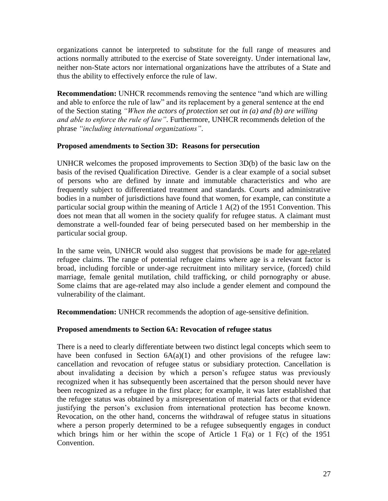organizations cannot be interpreted to substitute for the full range of measures and actions normally attributed to the exercise of State sovereignty. Under international law, neither non-State actors nor international organizations have the attributes of a State and thus the ability to effectively enforce the rule of law.

**Recommendation:** UNHCR recommends removing the sentence "and which are willing and able to enforce the rule of law" and its replacement by a general sentence at the end of the Section stating *"When the actors of protection set out in (a) and (b) are willing and able to enforce the rule of law"*. Furthermore, UNHCR recommends deletion of the phrase *"including international organizations"*.

### **Proposed amendments to Section 3D: Reasons for persecution**

UNHCR welcomes the proposed improvements to Section 3D(b) of the basic law on the basis of the revised Qualification Directive. Gender is a clear example of a social subset of persons who are defined by innate and immutable characteristics and who are frequently subject to differentiated treatment and standards. Courts and administrative bodies in a number of jurisdictions have found that women, for example, can constitute a particular social group within the meaning of Article 1 A(2) of the 1951 Convention. This does not mean that all women in the society qualify for refugee status. A claimant must demonstrate a well-founded fear of being persecuted based on her membership in the particular social group.

In the same vein, UNHCR would also suggest that provisions be made for age-related refugee claims. The range of potential refugee claims where age is a relevant factor is broad, including forcible or under-age recruitment into military service, (forced) child marriage, female genital mutilation, child trafficking, or child pornography or abuse. Some claims that are age-related may also include a gender element and compound the vulnerability of the claimant.

**Recommendation:** UNHCR recommends the adoption of age-sensitive definition.

# **Proposed amendments to Section 6A: Revocation of refugee status**

There is a need to clearly differentiate between two distinct legal concepts which seem to have been confused in Section  $6A(a)(1)$  and other provisions of the refugee law: cancellation and revocation of refugee status or subsidiary protection. Cancellation is about invalidating a decision by which a person"s refugee status was previously recognized when it has subsequently been ascertained that the person should never have been recognized as a refugee in the first place; for example, it was later established that the refugee status was obtained by a misrepresentation of material facts or that evidence justifying the person"s exclusion from international protection has become known. Revocation, on the other hand, concerns the withdrawal of refugee status in situations where a person properly determined to be a refugee subsequently engages in conduct which brings him or her within the scope of Article 1  $F(a)$  or 1  $F(c)$  of the 1951 Convention.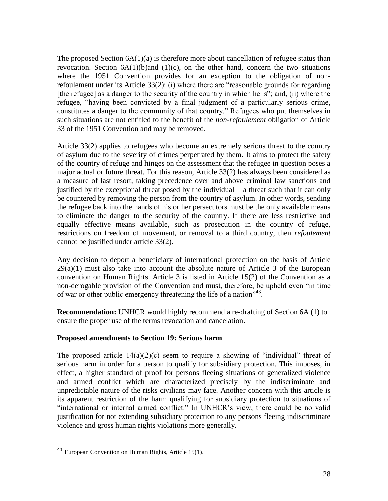The proposed Section  $6A(1)(a)$  is therefore more about cancellation of refugee status than revocation. Section  $6A(1)(b)$  and  $(1)(c)$ , on the other hand, concern the two situations where the 1951 Convention provides for an exception to the obligation of nonrefoulement under its Article 33(2): (i) where there are "reasonable grounds for regarding [the refugee] as a danger to the security of the country in which he is"; and, (ii) where the refugee, "having been convicted by a final judgment of a particularly serious crime, constitutes a danger to the community of that country." Refugees who put themselves in such situations are not entitled to the benefit of the *non-refoulement* obligation of Article 33 of the 1951 Convention and may be removed.

Article 33(2) applies to refugees who become an extremely serious threat to the country of asylum due to the severity of crimes perpetrated by them. It aims to protect the safety of the country of refuge and hinges on the assessment that the refugee in question poses a major actual or future threat. For this reason, Article 33(2) has always been considered as a measure of last resort, taking precedence over and above criminal law sanctions and justified by the exceptional threat posed by the individual – a threat such that it can only be countered by removing the person from the country of asylum. In other words, sending the refugee back into the hands of his or her persecutors must be the only available means to eliminate the danger to the security of the country. If there are less restrictive and equally effective means available, such as prosecution in the country of refuge, restrictions on freedom of movement, or removal to a third country, then *refoulement* cannot be justified under article 33(2).

Any decision to deport a beneficiary of international protection on the basis of Article  $29(a)(1)$  must also take into account the absolute nature of Article 3 of the European convention on Human Rights. Article 3 is listed in Article 15(2) of the Convention as a non-derogable provision of the Convention and must, therefore, be upheld even "in time of war or other public emergency threatening the life of a nation<sup>743</sup>.

**Recommendation:** UNHCR would highly recommend a re-drafting of Section 6A (1) to ensure the proper use of the terms revocation and cancelation.

#### **Proposed amendments to Section 19: Serious harm**

The proposed article  $14(a)(2)(c)$  seem to require a showing of "individual" threat of serious harm in order for a person to qualify for subsidiary protection. This imposes, in effect, a higher standard of proof for persons fleeing situations of generalized violence and armed conflict which are characterized precisely by the indiscriminate and unpredictable nature of the risks civilians may face. Another concern with this article is its apparent restriction of the harm qualifying for subsidiary protection to situations of "international or internal armed conflict." In UNHCR"s view, there could be no valid justification for not extending subsidiary protection to any persons fleeing indiscriminate violence and gross human rights violations more generally.

<sup>43</sup> European Convention on Human Rights, Article 15(1).